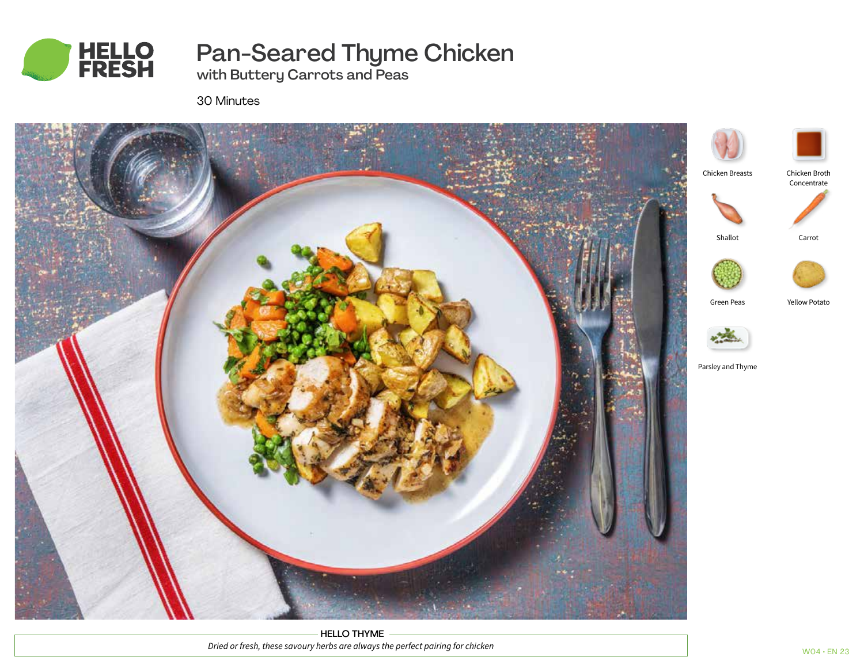

# Pan-Seared Thyme Chicken

with Buttery Carrots and Peas

30 Minutes